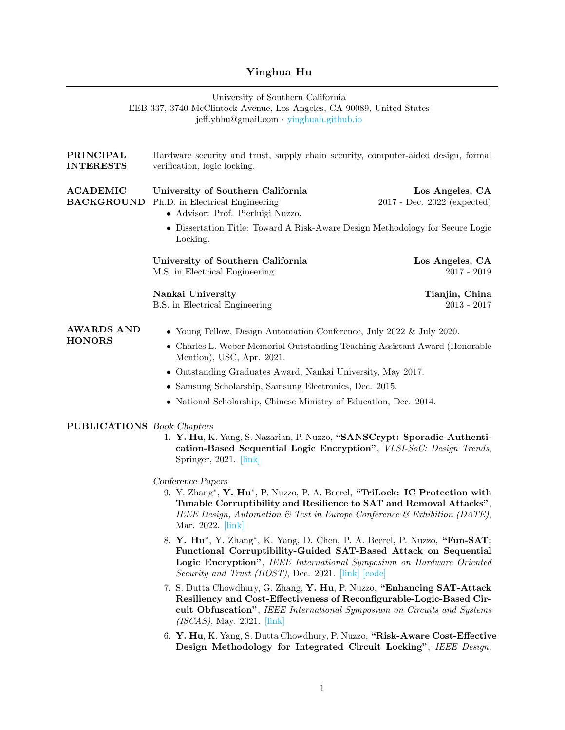# Yinghua Hu

|                                      | University of Southern California<br>EEB 337, 3740 McClintock Avenue, Los Angeles, CA 90089, United States<br>jeff.yhhu@gmail.com · yinghuah.github.io                                                                                                                      |                                                    |
|--------------------------------------|-----------------------------------------------------------------------------------------------------------------------------------------------------------------------------------------------------------------------------------------------------------------------------|----------------------------------------------------|
| PRINCIPAL<br><b>INTERESTS</b>        | Hardware security and trust, supply chain security, computer-aided design, formal<br>verification, logic locking.                                                                                                                                                           |                                                    |
| <b>ACADEMIC</b><br><b>BACKGROUND</b> | University of Southern California<br>Ph.D. in Electrical Engineering<br>• Advisor: Prof. Pierluigi Nuzzo.                                                                                                                                                                   | Los Angeles, CA<br>$2017$ - Dec. $2022$ (expected) |
|                                      | • Dissertation Title: Toward A Risk-Aware Design Methodology for Secure Logic<br>Locking.                                                                                                                                                                                   |                                                    |
|                                      | University of Southern California<br>M.S. in Electrical Engineering                                                                                                                                                                                                         | Los Angeles, CA<br>$2017 - 2019$                   |
|                                      | Nankai University<br>B.S. in Electrical Engineering                                                                                                                                                                                                                         | Tianjin, China<br>$2013 - 2017$                    |
| <b>AWARDS AND</b><br><b>HONORS</b>   | • Young Fellow, Design Automation Conference, July 2022 & July 2020.                                                                                                                                                                                                        |                                                    |
|                                      | • Charles L. Weber Memorial Outstanding Teaching Assistant Award (Honorable<br>Mention), USC, Apr. 2021.                                                                                                                                                                    |                                                    |
|                                      | • Outstanding Graduates Award, Nankai University, May 2017.                                                                                                                                                                                                                 |                                                    |
|                                      | • Samsung Scholarship, Samsung Electronics, Dec. 2015.                                                                                                                                                                                                                      |                                                    |
|                                      | • National Scholarship, Chinese Ministry of Education, Dec. 2014.                                                                                                                                                                                                           |                                                    |
| <b>PUBLICATIONS</b> Book Chapters    | 1. Y. Hu, K. Yang, S. Nazarian, P. Nuzzo, "SANSCrypt: Sporadic-Authenti-<br>cation-Based Sequential Logic Encryption", VLSI-SoC: Design Trends,<br>Springer, 2021. [link]                                                                                                   |                                                    |
|                                      | Conference Papers<br>9. Y. Zhang*, Y. Hu*, P. Nuzzo, P. A. Beerel, "TriLock: IC Protection with<br>Tunable Corruptibility and Resilience to SAT and Removal Attacks",<br>IEEE Design, Automation & Test in Europe Conference & Exhibition (DATE),<br>Mar. 2022. [link]      |                                                    |
|                                      | 8. Y. Hu*, Y. Zhang*, K. Yang, D. Chen, P. A. Beerel, P. Nuzzo, "Fun-SAT:<br>Functional Corruptibility-Guided SAT-Based Attack on Sequential<br>Logic Encryption", IEEE International Symposium on Hardware Oriented<br>Security and Trust (HOST), Dec. 2021. [link] [code] |                                                    |
|                                      | 7. S. Dutta Chowdhury, G. Zhang, Y. Hu, P. Nuzzo, "Enhancing SAT-Attack<br>Resiliency and Cost-Effectiveness of Reconfigurable-Logic-Based Cir-<br>cuit Obfuscation", IEEE International Symposium on Circuits and Systems<br>$(ISCAS),$ May. 2021. [link]                  |                                                    |

6. Y. Hu, K. Yang, S. Dutta Chowdhury, P. Nuzzo, "Risk-Aware Cost-Effective Design Methodology for Integrated Circuit Locking", IEEE Design,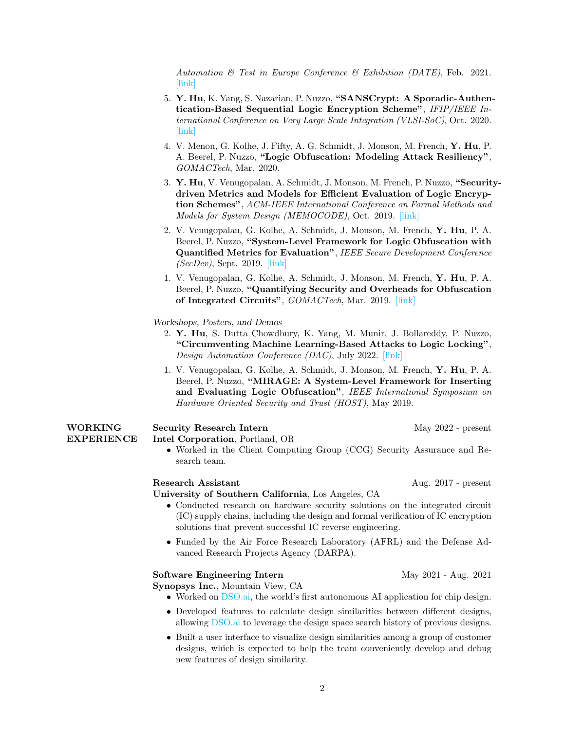Automation & Test in Europe Conference & Exhibition (DATE), Feb. 2021. [\[link\]](https://doi.org/10.23919/DATE51398.2021.9473956)

- 5. Y. Hu, K. Yang, S. Nazarian, P. Nuzzo, "SANSCrypt: A Sporadic-Authentication-Based Sequential Logic Encryption Scheme", IFIP/IEEE International Conference on Very Large Scale Integration (VLSI-SoC), Oct. 2020. [\[link\]](https://doi.org/10.1109/VLSI-SOC46417.2020.9344079)
- 4. V. Menon, G. Kolhe, J. Fifty, A. G. Schmidt, J. Monson, M. French, Y. Hu, P. A. Beerel, P. Nuzzo, "Logic Obfuscation: Modeling Attack Resiliency", GOMACTech, Mar. 2020.
- 3. Y. Hu, V. Venugopalan, A. Schmidt, J. Monson, M. French, P. Nuzzo, "Securitydriven Metrics and Models for Efficient Evaluation of Logic Encryption Schemes", ACM-IEEE International Conference on Formal Methods and Models for System Design (MEMOCODE), Oct. 2019. [\[link\]](https://doi.org/10.1145/3359986.3361207)
- 2. V. Venugopalan, G. Kolhe, A. Schmidt, J. Monson, M. French, Y. Hu, P. A. Beerel, P. Nuzzo, "System-Level Framework for Logic Obfuscation with Quantified Metrics for Evaluation", IEEE Secure Development Conference  $(SecDev)$ , Sept. 2019.  $[\text{link}]$
- 1. V. Venugopalan, G. Kolhe, A. Schmidt, J. Monson, M. French, Y. Hu, P. A. Beerel, P. Nuzzo, "Quantifying Security and Overheads for Obfuscation of Integrated Circuits", GOMACTech, Mar. 2019. [\[link\]](https://apps.dtic.mil/sti/citations/AD1075410)

## Workshops, Posters, and Demos

- 2. Y. Hu, S. Dutta Chowdhury, K. Yang, M. Munir, J. Bollareddy, P. Nuzzo, "Circumventing Machine Learning-Based Attacks to Logic Locking", Design Automation Conference (DAC), July 2022. [\[link\]](https://59dac.conference-program.com/presentation/?id=WIP207&sess=sess264)
- 1. V. Venugopalan, G. Kolhe, A. Schmidt, J. Monson, M. French, Y. Hu, P. A. Beerel, P. Nuzzo, "MIRAGE: A System-Level Framework for Inserting and Evaluating Logic Obfuscation", IEEE International Symposium on Hardware Oriented Security and Trust (HOST), May 2019.

WORKING EXPERIENCE

## Security Research Intern May 2022 - present Intel Corporation, Portland, OR

• Worked in the Client Computing Group (CCG) Security Assurance and Research team.

#### Research Assistant Aug. 2017 - present

University of Southern California, Los Angeles, CA

- Conducted research on hardware security solutions on the integrated circuit (IC) supply chains, including the design and formal verification of IC encryption solutions that prevent successful IC reverse engineering.
- Funded by the Air Force Research Laboratory (AFRL) and the Defense Advanced Research Projects Agency (DARPA).

# Software Engineering Intern May 2021 - Aug. 2021

Synopsys Inc., Mountain View, CA

- Worked on [DSO.ai,](https://www.synopsys.com/implementation-and-signoff/ml-ai-design/dso-ai.html) the world's first autonomous AI application for chip design.
- Developed features to calculate design similarities between different designs, allowing [DSO.ai](https://www.synopsys.com/implementation-and-signoff/ml-ai-design/dso-ai.html) to leverage the design space search history of previous designs.
- Built a user interface to visualize design similarities among a group of customer designs, which is expected to help the team conveniently develop and debug new features of design similarity.